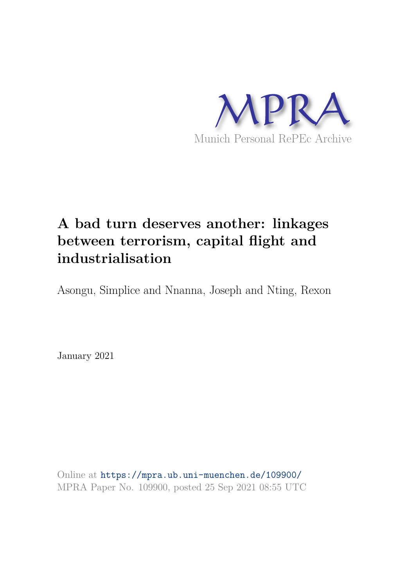

# **A bad turn deserves another: linkages between terrorism, capital flight and industrialisation**

Asongu, Simplice and Nnanna, Joseph and Nting, Rexon

January 2021

Online at https://mpra.ub.uni-muenchen.de/109900/ MPRA Paper No. 109900, posted 25 Sep 2021 08:55 UTC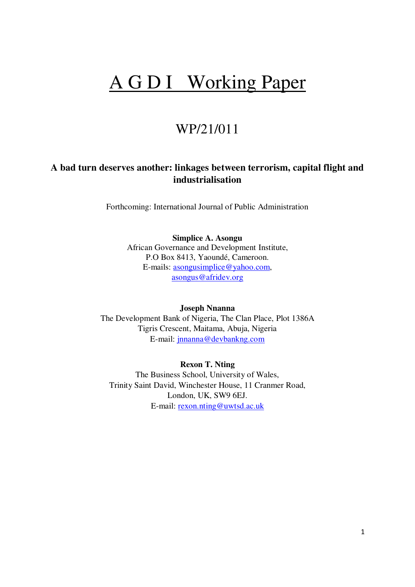# A G D I Working Paper

## WP/21/011

## **A bad turn deserves another: linkages between terrorism, capital flight and industrialisation**

Forthcoming: International Journal of Public Administration

**Simplice A. Asongu**  African Governance and Development Institute, P.O Box 8413, Yaoundé, Cameroon. E-mails: [asongusimplice@yahoo.com,](mailto:asongusimplice@yahoo.com) [asongus@afridev.org](mailto:asongus@afridev.org*)

**Joseph Nnanna**  The Development Bank of Nigeria, The Clan Place, Plot 1386A Tigris Crescent, Maitama, Abuja, Nigeria E-mail: [jnnanna@devbankng.com](mailto:jnnanna@devbankng.com)

**Rexon T. Nting**  The Business School, University of Wales, Trinity Saint David, Winchester House, 11 Cranmer Road, London, UK, SW9 6EJ. E-mail: [rexon.nting@uwtsd.ac.uk](mailto:rexon.nting@uwtsd.ac.uk)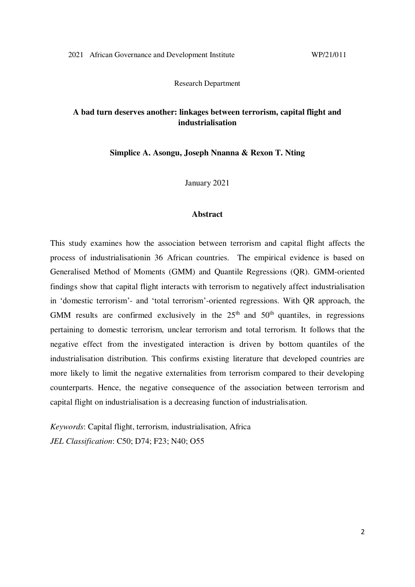Research Department

## **A bad turn deserves another: linkages between terrorism, capital flight and industrialisation**

**Simplice A. Asongu, Joseph Nnanna & Rexon T. Nting** 

January 2021

#### **Abstract**

This study examines how the association between terrorism and capital flight affects the process of industrialisationin 36 African countries. The empirical evidence is based on Generalised Method of Moments (GMM) and Quantile Regressions (QR). GMM-oriented findings show that capital flight interacts with terrorism to negatively affect industrialisation in 'domestic terrorism'- and 'total terrorism'-oriented regressions. With QR approach, the GMM results are confirmed exclusively in the  $25<sup>th</sup>$  and  $50<sup>th</sup>$  quantiles, in regressions pertaining to domestic terrorism, unclear terrorism and total terrorism. It follows that the negative effect from the investigated interaction is driven by bottom quantiles of the industrialisation distribution. This confirms existing literature that developed countries are more likely to limit the negative externalities from terrorism compared to their developing counterparts. Hence, the negative consequence of the association between terrorism and capital flight on industrialisation is a decreasing function of industrialisation.

*Keywords*: Capital flight, terrorism, industrialisation, Africa *JEL Classification*: C50; D74; F23; N40; O55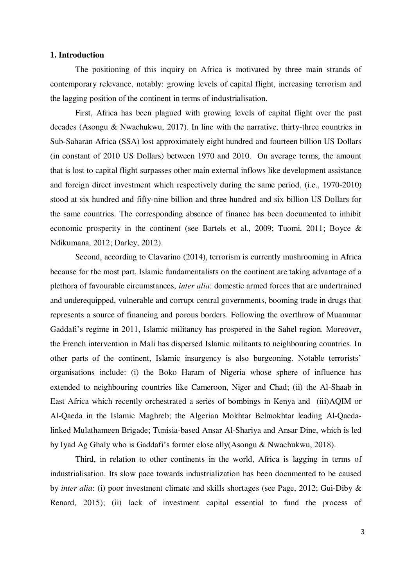#### **1. Introduction**

 The positioning of this inquiry on Africa is motivated by three main strands of contemporary relevance, notably: growing levels of capital flight, increasing terrorism and the lagging position of the continent in terms of industrialisation.

 First, Africa has been plagued with growing levels of capital flight over the past decades (Asongu & Nwachukwu, 2017). In line with the narrative, thirty-three countries in Sub-Saharan Africa (SSA) lost approximately eight hundred and fourteen billion US Dollars (in constant of 2010 US Dollars) between 1970 and 2010. On average terms, the amount that is lost to capital flight surpasses other main external inflows like development assistance and foreign direct investment which respectively during the same period, (i.e., 1970-2010) stood at six hundred and fifty-nine billion and three hundred and six billion US Dollars for the same countries. The corresponding absence of finance has been documented to inhibit economic prosperity in the continent (see Bartels et al., 2009; Tuomi, 2011; Boyce & Ndikumana, 2012; Darley, 2012).

 Second, according to Clavarino (2014), terrorism is currently mushrooming in Africa because for the most part, Islamic fundamentalists on the continent are taking advantage of a plethora of favourable circumstances, *inter alia*: domestic armed forces that are undertrained and underequipped, vulnerable and corrupt central governments, booming trade in drugs that represents a source of financing and porous borders. Following the overthrow of Muammar Gaddafi's regime in 2011, Islamic militancy has prospered in the Sahel region. Moreover, the French intervention in Mali has dispersed Islamic militants to neighbouring countries. In other parts of the continent, Islamic insurgency is also burgeoning. Notable terrorists' organisations include: (i) the Boko Haram of Nigeria whose sphere of influence has extended to neighbouring countries like Cameroon, Niger and Chad; (ii) the Al-Shaab in East Africa which recently orchestrated a series of bombings in Kenya and (iii)AQIM or Al-Qaeda in the Islamic Maghreb; the Algerian Mokhtar Belmokhtar leading Al-Qaedalinked Mulathameen Brigade; Tunisia-based Ansar Al-Shariya and Ansar Dine, which is led by Iyad Ag Ghaly who is Gaddafi's former close ally(Asongu & Nwachukwu, 2018).

 Third, in relation to other continents in the world, Africa is lagging in terms of industrialisation. Its slow pace towards industrialization has been documented to be caused by *inter alia*: (i) poor investment climate and skills shortages (see Page, 2012; Gui-Diby & Renard, 2015); (ii) lack of investment capital essential to fund the process of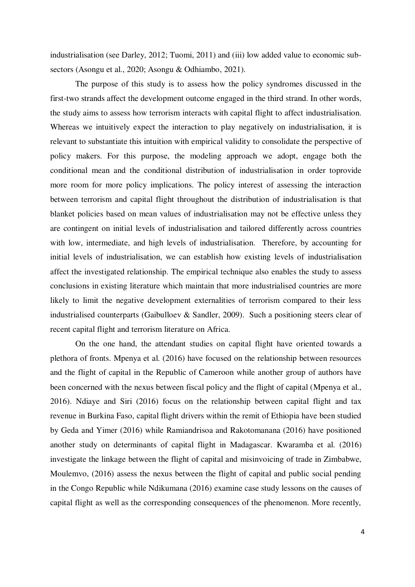industrialisation (see Darley, 2012; Tuomi, 2011) and (iii) low added value to economic subsectors (Asongu et al., 2020; Asongu & Odhiambo, 2021).

 The purpose of this study is to assess how the policy syndromes discussed in the first-two strands affect the development outcome engaged in the third strand. In other words, the study aims to assess how terrorism interacts with capital flight to affect industrialisation. Whereas we intuitively expect the interaction to play negatively on industrialisation, it is relevant to substantiate this intuition with empirical validity to consolidate the perspective of policy makers. For this purpose, the modeling approach we adopt, engage both the conditional mean and the conditional distribution of industrialisation in order toprovide more room for more policy implications. The policy interest of assessing the interaction between terrorism and capital flight throughout the distribution of industrialisation is that blanket policies based on mean values of industrialisation may not be effective unless they are contingent on initial levels of industrialisation and tailored differently across countries with low, intermediate, and high levels of industrialisation. Therefore, by accounting for initial levels of industrialisation, we can establish how existing levels of industrialisation affect the investigated relationship. The empirical technique also enables the study to assess conclusions in existing literature which maintain that more industrialised countries are more likely to limit the negative development externalities of terrorism compared to their less industrialised counterparts (Gaibulloev & Sandler, 2009). Such a positioning steers clear of recent capital flight and terrorism literature on Africa.

On the one hand, the attendant studies on capital flight have oriented towards a plethora of fronts. Mpenya et al. (2016) have focused on the relationship between resources and the flight of capital in the Republic of Cameroon while another group of authors have been concerned with the nexus between fiscal policy and the flight of capital (Mpenya et al., 2016). Ndiaye and Siri (2016) focus on the relationship between capital flight and tax revenue in Burkina Faso, capital flight drivers within the remit of Ethiopia have been studied by Geda and Yimer (2016) while Ramiandrisoa and Rakotomanana (2016) have positioned another study on determinants of capital flight in Madagascar. Kwaramba et al. (2016) investigate the linkage between the flight of capital and misinvoicing of trade in Zimbabwe, Moulemvo, (2016) assess the nexus between the flight of capital and public social pending in the Congo Republic while Ndikumana (2016) examine case study lessons on the causes of capital flight as well as the corresponding consequences of the phenomenon. More recently,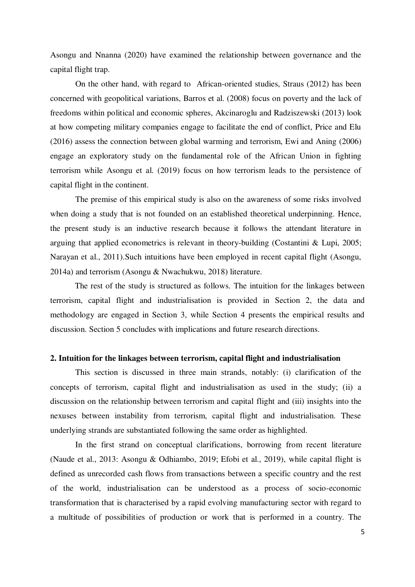Asongu and Nnanna (2020) have examined the relationship between governance and the capital flight trap.

On the other hand, with regard to African-oriented studies, Straus (2012) has been concerned with geopolitical variations, Barros et al. (2008) focus on poverty and the lack of freedoms within political and economic spheres, Akcinaroglu and Radziszewski (2013) look at how competing military companies engage to facilitate the end of conflict, Price and Elu (2016) assess the connection between global warming and terrorism, Ewi and Aning (2006) engage an exploratory study on the fundamental role of the African Union in fighting terrorism while Asongu et al. (2019) focus on how terrorism leads to the persistence of capital flight in the continent.

The premise of this empirical study is also on the awareness of some risks involved when doing a study that is not founded on an established theoretical underpinning. Hence, the present study is an inductive research because it follows the attendant literature in arguing that applied econometrics is relevant in theory-building (Costantini & Lupi, 2005; Narayan et al., 2011).Such intuitions have been employed in recent capital flight (Asongu, 2014a) and terrorism (Asongu & Nwachukwu, 2018) literature.

The rest of the study is structured as follows. The intuition for the linkages between terrorism, capital flight and industrialisation is provided in Section 2, the data and methodology are engaged in Section 3, while Section 4 presents the empirical results and discussion. Section 5 concludes with implications and future research directions.

#### **2. Intuition for the linkages between terrorism, capital flight and industrialisation**

This section is discussed in three main strands, notably: (i) clarification of the concepts of terrorism, capital flight and industrialisation as used in the study; (ii) a discussion on the relationship between terrorism and capital flight and (iii) insights into the nexuses between instability from terrorism, capital flight and industrialisation. These underlying strands are substantiated following the same order as highlighted.

In the first strand on conceptual clarifications, borrowing from recent literature (Naude et al., 2013: Asongu & Odhiambo, 2019; Efobi et al., 2019), while capital flight is defined as unrecorded cash flows from transactions between a specific country and the rest of the world, industrialisation can be understood as a process of socio-economic transformation that is characterised by a rapid evolving manufacturing sector with regard to a multitude of possibilities of production or work that is performed in a country. The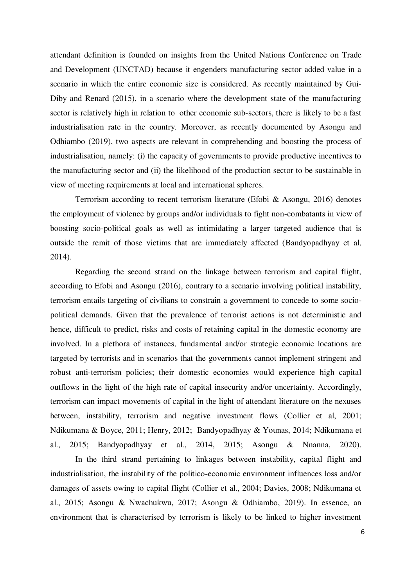attendant definition is founded on insights from the United Nations Conference on Trade and Development (UNCTAD) because it engenders manufacturing sector added value in a scenario in which the entire economic size is considered. As recently maintained by Gui-Diby and Renard (2015), in a scenario where the development state of the manufacturing sector is relatively high in relation to other economic sub-sectors, there is likely to be a fast industrialisation rate in the country. Moreover, as recently documented by Asongu and Odhiambo (2019), two aspects are relevant in comprehending and boosting the process of industrialisation, namely: (i) the capacity of governments to provide productive incentives to the manufacturing sector and (ii) the likelihood of the production sector to be sustainable in view of meeting requirements at local and international spheres.

 Terrorism according to recent terrorism literature (Efobi & Asongu, 2016) denotes the employment of violence by groups and/or individuals to fight non-combatants in view of boosting socio-political goals as well as intimidating a larger targeted audience that is outside the remit of those victims that are immediately affected (Bandyopadhyay et al, 2014).

 Regarding the second strand on the linkage between terrorism and capital flight, according to Efobi and Asongu (2016), contrary to a scenario involving political instability, terrorism entails targeting of civilians to constrain a government to concede to some sociopolitical demands. Given that the prevalence of terrorist actions is not deterministic and hence, difficult to predict, risks and costs of retaining capital in the domestic economy are involved. In a plethora of instances, fundamental and/or strategic economic locations are targeted by terrorists and in scenarios that the governments cannot implement stringent and robust anti-terrorism policies; their domestic economies would experience high capital outflows in the light of the high rate of capital insecurity and/or uncertainty. Accordingly, terrorism can impact movements of capital in the light of attendant literature on the nexuses between, instability, terrorism and negative investment flows (Collier et al, 2001; Ndikumana & Boyce, 2011; Henry, 2012; Bandyopadhyay & Younas, 2014; Ndikumana et al., 2015; Bandyopadhyay et al., 2014, 2015; Asongu & Nnanna, 2020).

 In the third strand pertaining to linkages between instability, capital flight and industrialisation, the instability of the politico-economic environment influences loss and/or damages of assets owing to capital flight (Collier et al., 2004; Davies, 2008; Ndikumana et al., 2015; Asongu & Nwachukwu, 2017; Asongu & Odhiambo, 2019). In essence, an environment that is characterised by terrorism is likely to be linked to higher investment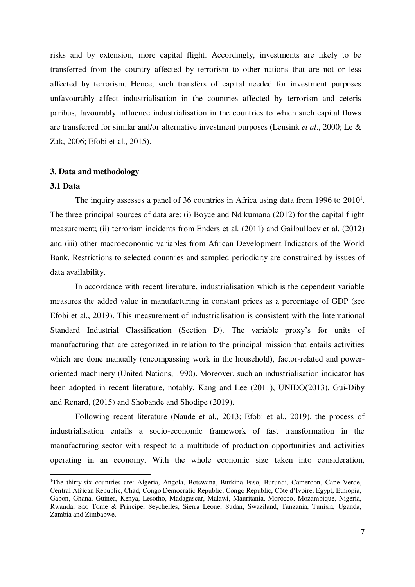risks and by extension, more capital flight. Accordingly, investments are likely to be transferred from the country affected by terrorism to other nations that are not or less affected by terrorism. Hence, such transfers of capital needed for investment purposes unfavourably affect industrialisation in the countries affected by terrorism and ceteris paribus, favourably influence industrialisation in the countries to which such capital flows are transferred for similar and/or alternative investment purposes (Lensink *et al*., 2000; Le & Zak, 2006; Efobi et al., 2015).

#### **3. Data and methodology**

#### **3.1 Data**

 $\overline{a}$ 

The inquiry assesses a panel of 36 countries in Africa using data from 1996 to  $2010<sup>1</sup>$ . The three principal sources of data are: (i) Boyce and Ndikumana (2012) for the capital flight measurement; (ii) terrorism incidents from Enders et al. (2011) and Gailbulloev et al. (2012) and (iii) other macroeconomic variables from African Development Indicators of the World Bank. Restrictions to selected countries and sampled periodicity are constrained by issues of data availability.

 In accordance with recent literature, industrialisation which is the dependent variable measures the added value in manufacturing in constant prices as a percentage of GDP (see Efobi et al., 2019). This measurement of industrialisation is consistent with the International Standard Industrial Classification (Section D). The variable proxy's for units of manufacturing that are categorized in relation to the principal mission that entails activities which are done manually (encompassing work in the household), factor-related and poweroriented machinery (United Nations, 1990). Moreover, such an industrialisation indicator has been adopted in recent literature, notably, Kang and Lee (2011), UNIDO(2013), Gui-Diby and Renard, (2015) and Shobande and Shodipe (2019).

 Following recent literature (Naude et al., 2013; Efobi et al., 2019), the process of industrialisation entails a socio-economic framework of fast transformation in the manufacturing sector with respect to a multitude of production opportunities and activities operating in an economy. With the whole economic size taken into consideration,

<sup>1</sup>The thirty-six countries are: Algeria, Angola, Botswana, Burkina Faso, Burundi, Cameroon, Cape Verde, Central African Republic, Chad, Congo Democratic Republic, Congo Republic, Côte d'Ivoire, Egypt, Ethiopia, Gabon, Ghana, Guinea, Kenya, Lesotho, Madagascar, Malawi, Mauritania, Morocco, Mozambique, Nigeria, Rwanda, Sao Tome & Principe, Seychelles, Sierra Leone, Sudan, Swaziland, Tanzania, Tunisia, Uganda, Zambia and Zimbabwe.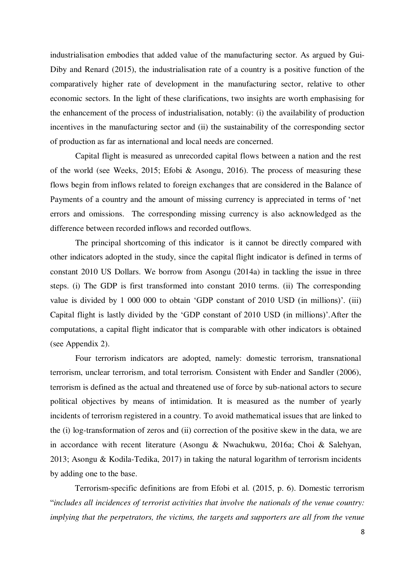industrialisation embodies that added value of the manufacturing sector. As argued by Gui-Diby and Renard (2015), the industrialisation rate of a country is a positive function of the comparatively higher rate of development in the manufacturing sector, relative to other economic sectors. In the light of these clarifications, two insights are worth emphasising for the enhancement of the process of industrialisation, notably: (i) the availability of production incentives in the manufacturing sector and (ii) the sustainability of the corresponding sector of production as far as international and local needs are concerned.

 Capital flight is measured as unrecorded capital flows between a nation and the rest of the world (see Weeks, 2015; Efobi & Asongu, 2016). The process of measuring these flows begin from inflows related to foreign exchanges that are considered in the Balance of Payments of a country and the amount of missing currency is appreciated in terms of 'net errors and omissions. The corresponding missing currency is also acknowledged as the difference between recorded inflows and recorded outflows.

 The principal shortcoming of this indicator is it cannot be directly compared with other indicators adopted in the study, since the capital flight indicator is defined in terms of constant 2010 US Dollars. We borrow from Asongu (2014a) in tackling the issue in three steps. (i) The GDP is first transformed into constant 2010 terms. (ii) The corresponding value is divided by 1 000 000 to obtain 'GDP constant of 2010 USD (in millions)'. (iii) Capital flight is lastly divided by the 'GDP constant of 2010 USD (in millions)'.After the computations, a capital flight indicator that is comparable with other indicators is obtained (see Appendix 2).

 Four terrorism indicators are adopted, namely: domestic terrorism, transnational terrorism, unclear terrorism, and total terrorism. Consistent with Ender and Sandler (2006), terrorism is defined as the actual and threatened use of force by sub-national actors to secure political objectives by means of intimidation. It is measured as the number of yearly incidents of terrorism registered in a country. To avoid mathematical issues that are linked to the (i) log-transformation of zeros and (ii) correction of the positive skew in the data, we are in accordance with recent literature (Asongu & Nwachukwu, 2016a; Choi & Salehyan, 2013; Asongu & Kodila-Tedika, 2017) in taking the natural logarithm of terrorism incidents by adding one to the base.

Terrorism-specific definitions are from Efobi et al. (2015, p. 6). Domestic terrorism "*includes all incidences of terrorist activities that involve the nationals of the venue country: implying that the perpetrators, the victims, the targets and supporters are all from the venue*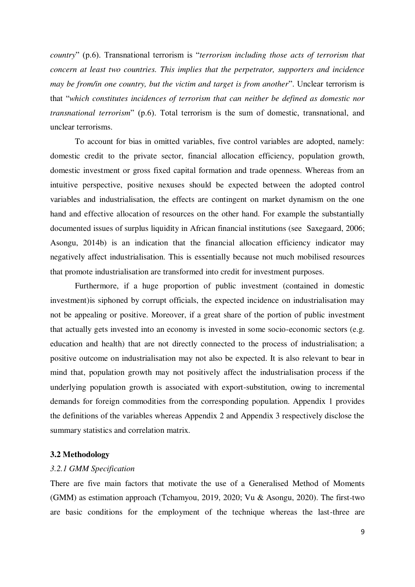*country*" (p.6). Transnational terrorism is "*terrorism including those acts of terrorism that concern at least two countries. This implies that the perpetrator, supporters and incidence may be from/in one country, but the victim and target is from another*". Unclear terrorism is that "*which constitutes incidences of terrorism that can neither be defined as domestic nor transnational terrorism*" (p.6). Total terrorism is the sum of domestic, transnational, and unclear terrorisms.

To account for bias in omitted variables, five control variables are adopted, namely: domestic credit to the private sector, financial allocation efficiency, population growth, domestic investment or gross fixed capital formation and trade openness. Whereas from an intuitive perspective, positive nexuses should be expected between the adopted control variables and industrialisation, the effects are contingent on market dynamism on the one hand and effective allocation of resources on the other hand. For example the substantially documented issues of surplus liquidity in African financial institutions (see Saxegaard, 2006; Asongu, 2014b) is an indication that the financial allocation efficiency indicator may negatively affect industrialisation. This is essentially because not much mobilised resources that promote industrialisation are transformed into credit for investment purposes.

Furthermore, if a huge proportion of public investment (contained in domestic investment)is siphoned by corrupt officials, the expected incidence on industrialisation may not be appealing or positive. Moreover, if a great share of the portion of public investment that actually gets invested into an economy is invested in some socio-economic sectors (e.g. education and health) that are not directly connected to the process of industrialisation; a positive outcome on industrialisation may not also be expected. It is also relevant to bear in mind that, population growth may not positively affect the industrialisation process if the underlying population growth is associated with export-substitution, owing to incremental demands for foreign commodities from the corresponding population. Appendix 1 provides the definitions of the variables whereas Appendix 2 and Appendix 3 respectively disclose the summary statistics and correlation matrix.

#### **3.2 Methodology**

#### *3.2.1 GMM Specification*

There are five main factors that motivate the use of a Generalised Method of Moments (GMM) as estimation approach (Tchamyou, 2019, 2020; Vu & Asongu, 2020). The first-two are basic conditions for the employment of the technique whereas the last-three are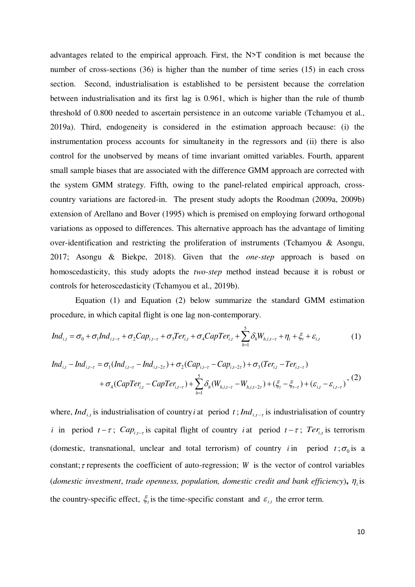advantages related to the empirical approach. First, the N>T condition is met because the number of cross-sections (36) is higher than the number of time series (15) in each cross section. Second, industrialisation is established to be persistent because the correlation between industrialisation and its first lag is 0.961, which is higher than the rule of thumb threshold of 0.800 needed to ascertain persistence in an outcome variable (Tchamyou et al., 2019a). Third, endogeneity is considered in the estimation approach because: (i) the instrumentation process accounts for simultaneity in the regressors and (ii) there is also control for the unobserved by means of time invariant omitted variables. Fourth, apparent small sample biases that are associated with the difference GMM approach are corrected with the system GMM strategy. Fifth, owing to the panel-related empirical approach, crosscountry variations are factored-in. The present study adopts the Roodman (2009a, 2009b) extension of Arellano and Bover (1995) which is premised on employing forward orthogonal variations as opposed to differences. This alternative approach has the advantage of limiting over-identification and restricting the proliferation of instruments (Tchamyou & Asongu, 2017; Asongu & Biekpe, 2018). Given that the *one-step* approach is based on homoscedasticity, this study adopts the *two-step* method instead because it is robust or controls for heteroscedasticity (Tchamyou et al., 2019b).

 Equation (1) and Equation (2) below summarize the standard GMM estimation procedure, in which capital flight is one lag non-contemporary.

$$
Ind_{i,t} = \sigma_0 + \sigma_1 Ind_{i,t-\tau} + \sigma_2 Cap_{i,t-\tau} + \sigma_3 Ter_{i,t} + \sigma_4 CapTer_{i,t} + \sum_{h=1}^5 \delta_h W_{h,i,t-\tau} + \eta_i + \xi_t + \varepsilon_{i,t}
$$
(1)

$$
Ind_{i,t} - Ind_{i,t-\tau} = \sigma_1(Ind_{i,t-\tau} - Ind_{i,t-2\tau}) + \sigma_2(Cap_{i,t-\tau} - Cap_{i,t-2\tau}) + \sigma_3(Ter_{i,t} - Ter_{i,t-\tau})
$$
  
+  $\sigma_4(CapTer_{i,t} - CapTer_{i,t-\tau}) + \sum_{h=1}^{5} \delta_h(W_{h,i,t-\tau} - W_{h,i,t-2\tau}) + (\xi_t - \xi_{t-\tau}) + (\varepsilon_{i,t} - \varepsilon_{i,t-\tau})$ , (2)

where, *Ind*<sub>i,t</sub> is industrialisation of country *i* at period  $t$ ; *Ind*<sub>i,t-t</sub> is industrialisation of country *i* in period  $t - \tau$ ;  $Cap_{i,t-\tau}$  is capital flight of country *i* at period  $t - \tau$ ;  $Ter_{i,t}$  is terrorism (domestic, transnational, unclear and total terrorism) of country *i* in period  $t$ ;  $\sigma_0$  is a constant;  $\tau$  represents the coefficient of auto-regression; *W* is the vector of control variables (*domestic investment, trade openness, population, domestic credit and bank efficiency),*  $\eta_i$  *is* the country-specific effect,  $\xi$  is the time-specific constant and  $\varepsilon$ <sub>i,t</sub> the error term.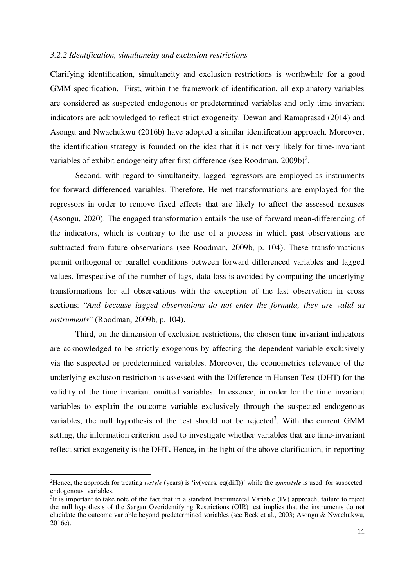#### *3.2.2 Identification, simultaneity and exclusion restrictions*

Clarifying identification, simultaneity and exclusion restrictions is worthwhile for a good GMM specification. First, within the framework of identification, all explanatory variables are considered as suspected endogenous or predetermined variables and only time invariant indicators are acknowledged to reflect strict exogeneity. Dewan and Ramaprasad (2014) and Asongu and Nwachukwu (2016b) have adopted a similar identification approach. Moreover, the identification strategy is founded on the idea that it is not very likely for time-invariant variables of exhibit endogeneity after first difference (see Roodman,  $2009b$ )<sup>2</sup>.

 Second, with regard to simultaneity, lagged regressors are employed as instruments for forward differenced variables. Therefore, Helmet transformations are employed for the regressors in order to remove fixed effects that are likely to affect the assessed nexuses (Asongu, 2020). The engaged transformation entails the use of forward mean-differencing of the indicators, which is contrary to the use of a process in which past observations are subtracted from future observations (see Roodman, 2009b, p. 104). These transformations permit orthogonal or parallel conditions between forward differenced variables and lagged values. Irrespective of the number of lags, data loss is avoided by computing the underlying transformations for all observations with the exception of the last observation in cross sections: "*And because lagged observations do not enter the formula, they are valid as instruments*" (Roodman, 2009b, p. 104).

 Third, on the dimension of exclusion restrictions, the chosen time invariant indicators are acknowledged to be strictly exogenous by affecting the dependent variable exclusively via the suspected or predetermined variables. Moreover, the econometrics relevance of the underlying exclusion restriction is assessed with the Difference in Hansen Test (DHT) for the validity of the time invariant omitted variables. In essence, in order for the time invariant variables to explain the outcome variable exclusively through the suspected endogenous variables, the null hypothesis of the test should not be rejected<sup>3</sup>. With the current GMM setting, the information criterion used to investigate whether variables that are time-invariant reflect strict exogeneity is the DHT**.** Hence**,** in the light of the above clarification, in reporting

 $\overline{a}$ 

<sup>2</sup>Hence, the approach for treating *ivstyle* (years) is 'iv(years, eq(diff))' while the *gmmstyle* is used for suspected endogenous variables.

<sup>&</sup>lt;sup>3</sup>It is important to take note of the fact that in a standard Instrumental Variable (IV) approach, failure to reject the null hypothesis of the Sargan Overidentifying Restrictions (OIR) test implies that the instruments do not elucidate the outcome variable beyond predetermined variables (see Beck et al., 2003; Asongu & Nwachukwu, 2016c).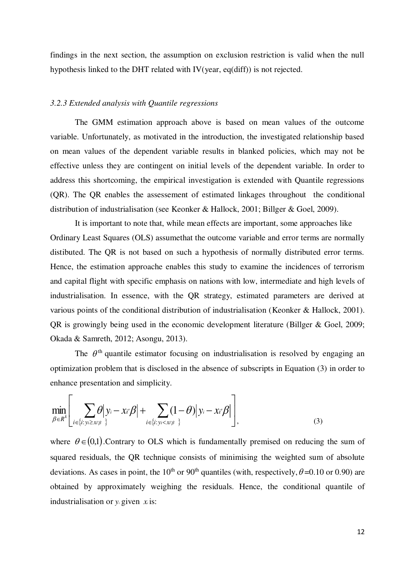findings in the next section, the assumption on exclusion restriction is valid when the null hypothesis linked to the DHT related with IV(year, eq(diff)) is not rejected.

#### *3.2.3 Extended analysis with Quantile regressions*

The GMM estimation approach above is based on mean values of the outcome variable. Unfortunately, as motivated in the introduction, the investigated relationship based on mean values of the dependent variable results in blanked policies, which may not be effective unless they are contingent on initial levels of the dependent variable. In order to address this shortcoming, the empirical investigation is extended with Quantile regressions (QR). The QR enables the assessement of estimated linkages throughout the conditional distribution of industrialisation (see Keonker & Hallock, 2001; Billger & Goel, 2009).

It is important to note that, while mean effects are important, some approaches like Ordinary Least Squares (OLS) assumethat the outcome variable and error terms are normally distibuted. The QR is not based on such a hypothesis of normally distributed error terms. Hence, the estimation approache enables this study to examine the incidences of terrorism and capital flight with specific emphasis on nations with low, intermediate and high levels of industrialisation. In essence, with the QR strategy, estimated parameters are derived at various points of the conditional distribution of industrialisation (Keonker & Hallock, 2001). QR is growingly being used in the economic development literature (Billger & Goel, 2009; Okada & Samreth, 2012; Asongu, 2013).

The  $\theta$ <sup>th</sup> quantile estimator focusing on industrialisation is resolved by engaging an optimization problem that is disclosed in the absence of subscripts in Equation (3) in order to enhance presentation and simplicity.

$$
\min_{\beta \in R^k} \left[ \sum_{i \in \{i: y_i \geq x \mid \beta\}} \theta \middle| y_i - x_i \beta \middle| + \sum_{i \in \{i: y_i < x \mid \beta\}} (1 - \theta) \middle| y_i - x_i \beta \middle| \right],\tag{3}
$$

where  $\theta \in (0,1)$ . Contrary to OLS which is fundamentally premised on reducing the sum of squared residuals, the QR technique consists of minimising the weighted sum of absolute deviations. As cases in point, the 10<sup>th</sup> or 90<sup>th</sup> quantiles (with, respectively,  $\theta$ =0.10 or 0.90) are obtained by approximately weighing the residuals. Hence, the conditional quantile of industrialisation or  $y_i$  given  $x_i$  is: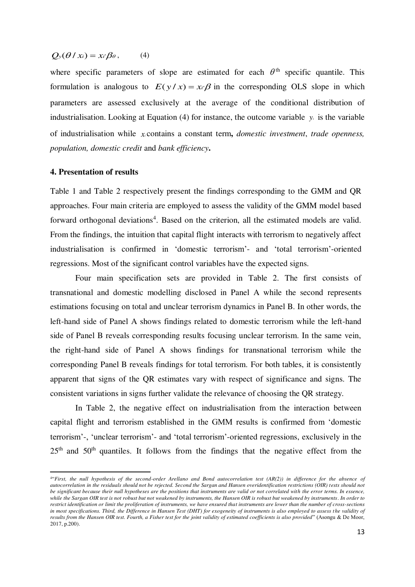## $Q_y(\theta \mid x_i) = x_i \beta_\theta$ , (4)

where specific parameters of slope are estimated for each  $\theta$ <sup>th</sup> specific quantile. This formulation is analogous to  $E(y/x) = x/\beta$  in the corresponding OLS slope in which parameters are assessed exclusively at the average of the conditional distribution of industrialisation. Looking at Equation (4) for instance, the outcome variable  $y_i$  is the variable of industrialisation while *<sup>x</sup><sup>i</sup>* contains a constant term**,** *domestic investment*, *trade openness, population, domestic credit* and *bank efficiency***.** 

#### **4. Presentation of results**

 $\overline{a}$ 

Table 1 and Table 2 respectively present the findings corresponding to the GMM and QR approaches. Four main criteria are employed to assess the validity of the GMM model based forward orthogonal deviations<sup>4</sup>. Based on the criterion, all the estimated models are valid. From the findings, the intuition that capital flight interacts with terrorism to negatively affect industrialisation is confirmed in 'domestic terrorism'- and 'total terrorism'-oriented regressions. Most of the significant control variables have the expected signs.

 Four main specification sets are provided in Table 2. The first consists of transnational and domestic modelling disclosed in Panel A while the second represents estimations focusing on total and unclear terrorism dynamics in Panel B. In other words, the left-hand side of Panel A shows findings related to domestic terrorism while the left-hand side of Panel B reveals corresponding results focusing unclear terrorism. In the same vein, the right-hand side of Panel A shows findings for transnational terrorism while the corresponding Panel B reveals findings for total terrorism. For both tables, it is consistently apparent that signs of the QR estimates vary with respect of significance and signs. The consistent variations in signs further validate the relevance of choosing the QR strategy.

In Table 2, the negative effect on industrialisation from the interaction between capital flight and terrorism established in the GMM results is confirmed from 'domestic terrorism'-, 'unclear terrorism'- and 'total terrorism'-oriented regressions, exclusively in the  $25<sup>th</sup>$  and  $50<sup>th</sup>$  quantiles. It follows from the findings that the negative effect from the

<sup>4</sup>"*First, the null hypothesis of the second-order Arellano and Bond autocorrelation test (AR(2)) in difference for the absence of autocorrelation in the residuals should not be rejected. Second the Sargan and Hansen overidentification restrictions (OIR) tests should not be significant because their null hypotheses are the positions that instruments are valid or not correlated with the error terms. In essence, while the Sargan OIR test is not robust but not weakened by instruments, the Hansen OIR is robust but weakened by instruments. In order to restrict identification or limit the proliferation of instruments, we have ensured that instruments are lower than the number of cross-sections in most specifications. Third, the Difference in Hansen Test (DHT) for exogeneity of instruments is also employed to assess the validity of results from the Hansen OIR test. Fourth, a Fisher test for the joint validity of estimated coefficients is also provided*" (Asongu & De Moor, 2017, p.200).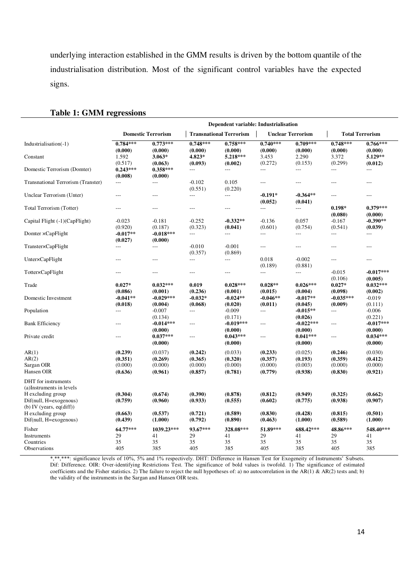underlying interaction established in the GMM results is driven by the bottom quantile of the industrialisation distribution. Most of the significant control variables have the expected signs.

|                                                                            | Dependent variable: Industrialisation    |                                          |                                          |                                          |                                          |                                          |                                          |                                          |  |  |
|----------------------------------------------------------------------------|------------------------------------------|------------------------------------------|------------------------------------------|------------------------------------------|------------------------------------------|------------------------------------------|------------------------------------------|------------------------------------------|--|--|
|                                                                            | <b>Domestic Terrorism</b>                |                                          |                                          | <b>Transnational Terrorism</b>           |                                          | <b>Unclear Terrorism</b>                 | <b>Total Terrorism</b>                   |                                          |  |  |
| Industrialisation(-1)                                                      | $0.784***$                               | $0.773***$                               | $0.748***$                               | $0.758***$                               | $0.740***$                               | $0.709***$                               | $0.748***$                               | $0.766***$                               |  |  |
| Constant                                                                   | (0.000)<br>1.592                         | (0.000)<br>$3.063*$                      | (0.000)<br>4.823*                        | (0.000)<br>5.218***                      | (0.000)<br>3.453                         | (0.000)<br>2.290                         | (0.000)<br>3.372                         | (0.000)<br>5.129**                       |  |  |
| Domestic Terrorism (Domter)                                                | (0.517)<br>$0.243***$<br>(0.008)         | (0.063)<br>$0.358***$<br>(0.000)         | (0.093)<br>$\overline{a}$                | (0.002)<br>$\overline{a}$                | (0.272)<br>$\overline{a}$                | (0.153)<br>$\overline{a}$                | (0.299)<br>$\overline{a}$                | (0.012)<br>$\overline{a}$                |  |  |
| <b>Transnational Terrorism (Transter)</b>                                  | ---                                      | $\overline{a}$                           | $-0.102$<br>(0.551)                      | 0.105<br>(0.220)                         | ---                                      | $---$                                    | $---$                                    | $\overline{a}$                           |  |  |
| Unclear Terrorism (Unter)                                                  | $\overline{a}$                           | $\overline{a}$                           | $\overline{a}$                           | $\overline{a}$                           | $-0.191*$<br>(0.052)                     | $-0.364**$<br>(0.041)                    | $---$                                    | $---$                                    |  |  |
| Total Terrorism (Totter)                                                   | ---                                      | ---                                      | ---                                      | $\overline{a}$                           | $\overline{a}$                           | $\overline{a}$                           | $0.198*$<br>(0.080)                      | $0.379***$<br>(0.000)                    |  |  |
| Capital Flight (-1)(CapFlight)                                             | $-0.023$<br>(0.920)                      | $-0.181$<br>(0.187)                      | $-0.252$<br>(0.323)                      | $-0.332**$<br>(0.041)                    | $-0.136$<br>(0.601)                      | 0.057<br>(0.754)                         | $-0.167$<br>(0.541)                      | $-0.390**$<br>(0.039)                    |  |  |
| Domter × CapFlight                                                         | $-0.017**$<br>(0.027)                    | $-0.018***$<br>(0.000)                   | ---                                      | ---                                      | $\overline{a}$                           | $\overline{a}$                           | $\overline{a}$                           | $\overline{a}$                           |  |  |
| Transter×CapFlight                                                         | $\overline{a}$                           | ---                                      | $-0.010$<br>(0.357)                      | $-0.001$<br>(0.869)                      | $---$                                    | $---$                                    | $---$                                    | $---$                                    |  |  |
| Unter×CapFlight                                                            | $---$                                    | ---                                      | $\overline{a}$                           | $\overline{a}$                           | 0.018<br>(0.189)                         | $-0.002$<br>(0.881)                      | $---$                                    | $---$                                    |  |  |
| Totter×CapFlight                                                           | ---                                      | $---$                                    | $---$                                    | $---$                                    | $\overline{a}$                           | $\overline{a}$                           | $-0.015$<br>(0.106)                      | $-0.017***$<br>(0.005)                   |  |  |
| Trade                                                                      | $0.027*$<br>(0.086)                      | $0.032***$<br>(0.001)                    | 0.019<br>(0.236)                         | $0.028***$<br>(0.001)                    | $0.028**$<br>(0.015)                     | $0.026***$<br>(0.004)                    | $0.027*$<br>(0.098)                      | $0.032***$<br>(0.002)                    |  |  |
| Domestic Investment                                                        | $-0.041**$<br>(0.018)                    | $-0.029***$<br>(0.004)                   | $-0.032*$<br>(0.068)                     | $-0.024**$<br>(0.020)                    | $-0.046**$<br>(0.011)                    | $-0.017**$<br>(0.045)                    | $-0.035***$<br>(0.009)                   | $-0.019$<br>(0.111)                      |  |  |
| Population                                                                 | $\overline{a}$                           | $-0.007$<br>(0.134)                      | ---                                      | $-0.009$<br>(0.171)                      | $---$                                    | $-0.015**$<br>(0.026)                    | $\overline{a}$                           | $-0.006$<br>(0.221)                      |  |  |
| <b>Bank Efficiency</b>                                                     | ---                                      | $-0.014***$<br>(0.000)                   | ---                                      | $-0.019***$<br>(0.000)                   | $---$                                    | $-0.022***$<br>(0.000)                   | $---$                                    | $-0.017***$<br>(0.000)                   |  |  |
| Private credit                                                             | ---                                      | $0.037***$<br>(0.000)                    | $\overline{a}$                           | $0.043***$<br>(0.000)                    | ---                                      | $0.041***$<br>(0.000)                    | $---$                                    | $0.034***$<br>(0.000)                    |  |  |
| AR(1)<br>AR(2)<br>Sargan OIR<br>Hansen OIR                                 | (0.239)<br>(0.351)<br>(0.000)<br>(0.636) | (0.037)<br>(0.269)<br>(0.000)<br>(0.961) | (0.242)<br>(0.365)<br>(0.000)<br>(0.857) | (0.033)<br>(0.320)<br>(0.000)<br>(0.781) | (0.233)<br>(0.357)<br>(0.000)<br>(0.779) | (0.025)<br>(0.193)<br>(0.003)<br>(0.938) | (0.246)<br>(0.359)<br>(0.000)<br>(0.830) | (0.030)<br>(0.412)<br>(0.000)<br>(0.921) |  |  |
| DHT for instruments<br>(a)Instruments in levels                            |                                          |                                          |                                          |                                          |                                          |                                          |                                          |                                          |  |  |
| H excluding group<br>Dif(null, H=exogenous)<br>(b) IV (years, $eq(diff)$ ) | (0.304)<br>(0.759)                       | (0.674)<br>(0.960)                       | (0.390)<br>(0.933)                       | (0.878)<br>(0.555)                       | (0.812)<br>(0.602)                       | (0.949)<br>(0.775)                       | (0.325)<br>(0.938)                       | (0.662)<br>(0.907)                       |  |  |
| H excluding group<br>Dif(null, H=exogenous)                                | (0.663)<br>(0.439)                       | (0.537)<br>(1.000)                       | (0.721)<br>(0.792)                       | (0.589)<br>(0.890)                       | (0.830)<br>(0.463)                       | (0.428)<br>(1.000)                       | (0.815)<br>(0.589)                       | (0.501)<br>(1.000)                       |  |  |
| Fisher<br>Instruments                                                      | 64.77***<br>29                           | 1039.23***<br>41                         | 93.67***<br>29                           | 328.08***<br>41                          | 51.89***<br>29                           | 688.42***<br>41                          | 48.86***<br>29                           | 548.40***<br>41                          |  |  |
| Countries<br>Observations                                                  | 35<br>405                                | 35<br>385                                | 35<br>405                                | 35<br>385                                | 35<br>405                                | 35<br>385                                | 35<br>405                                | 35<br>385                                |  |  |

#### **Table 1: GMM regressions**

\*,\*\*,\*\*\*: significance levels of 10%, 5% and 1% respectively. DHT: Difference in Hansen Test for Exogeneity of Instruments' Subsets. Dif: Difference. OIR: Over-identifying Restrictions Test. The significance of bold values is twofold. 1) The significance of estimated coefficients and the Fisher statistics. 2) The failure to reject the null hypotheses of: a) no autocorrelation in the AR(1) & AR(2) tests and; b) the validity of the instruments in the Sargan and Hansen OIR tests.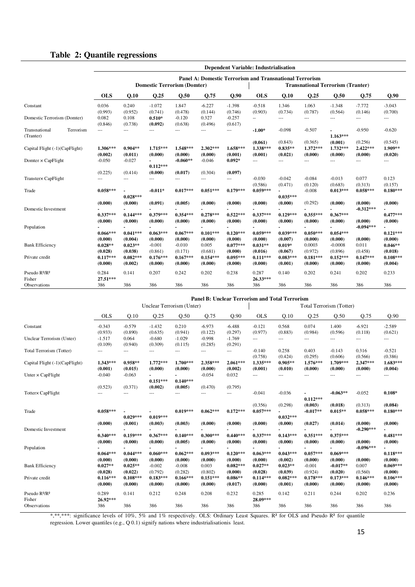#### **Table 2: Quantile regressions**

|                                                 | <b>Dependent Variable: Industrialisation</b>            |                                               |                                              |                                              |                                                |                                                |                                               |                                              |                                            |                                               |                                  |                                               |
|-------------------------------------------------|---------------------------------------------------------|-----------------------------------------------|----------------------------------------------|----------------------------------------------|------------------------------------------------|------------------------------------------------|-----------------------------------------------|----------------------------------------------|--------------------------------------------|-----------------------------------------------|----------------------------------|-----------------------------------------------|
|                                                 | Panel A: Domestic Terrorism and Transnational Terrorism |                                               |                                              |                                              |                                                |                                                |                                               |                                              |                                            |                                               |                                  |                                               |
|                                                 | <b>Domestic Terrorism (Domter)</b>                      |                                               |                                              |                                              | <b>Transnational Terrorism (Tranter)</b>       |                                                |                                               |                                              |                                            |                                               |                                  |                                               |
|                                                 | <b>OLS</b>                                              | Q.10                                          | Q.25                                         | Q.50                                         | Q.75                                           | Q.90                                           | <b>OLS</b>                                    | Q.10                                         | Q.25                                       | Q.50                                          | Q.75                             | Q.90                                          |
| Constant                                        | 0.036<br>(0.993)                                        | 0.240<br>(0.952)                              | $-1.072$<br>(0.741)                          | 1.847<br>(0.478)                             | $-6.227$<br>(0.144)                            | $-1.398$<br>(0.746)                            | $-0.518$<br>(0.903)                           | 1.346<br>(0.734)                             | 1.063<br>(0.787)                           | $-1.348$<br>(0.564)                           | $-7.772$<br>(0.146)              | $-3.043$<br>(0.700)                           |
| Domestic Terrorism (Domter)                     | 0.082<br>(0.846)                                        | 0.108<br>(0.738)                              | $0.510*$<br>(0.092)                          | $-0.120$<br>(0.638)                          | 0.327<br>(0.496)                               | $-0.257$<br>(0.617)                            | $\sim$ $\sim$                                 | $\overline{a}$                               | $\overline{a}$                             | $\sim$                                        | $---$                            | $\sim$                                        |
| Transnational<br>Terrorism<br>(Tranter)         | $\overline{a}$                                          | $\overline{\phantom{a}}$                      | $\overline{a}$                               | ---                                          | ---                                            | ---                                            | $-1.00*$                                      | $-0.098$                                     | $-0.507$                                   | $1.163***$                                    | $-0.950$                         | $-0.620$                                      |
| Capital Flight (-1)(CapFlight)                  | $1.306***$<br>(0.002)                                   | $0.904**$<br>(0.011)                          | $1.715***$<br>(0.000)                        | 1.548***<br>(0.000)                          | $2.302***$<br>(0.000)                          | 1.658***<br>(0.001)                            | (0.061)<br>1.338***<br>(0.001)                | (0.843)<br>$0.835**$<br>(0.021)              | (0.365)<br>$1.372***$<br>(0.000)           | (0.001)<br>$1.732***$<br>(0.000)              | (0.256)<br>$2.422***$<br>(0.000) | (0.545)<br>1.909**<br>(0.020)                 |
| Domter $\times$ CapFlight                       | $-0.050$                                                | $-0.027$                                      | $0.112***$                                   | $-0.060**$                                   | $-0.046$                                       | $0.092*$                                       | ---                                           | ---                                          | ---                                        | $\overline{a}$                                | ---                              | ---                                           |
|                                                 | (0.225)                                                 | (0.414)                                       | (0.000)                                      | (0.017)                                      | (0.304)                                        | (0.097)                                        |                                               |                                              |                                            |                                               |                                  |                                               |
| Transter× CapFlight                             | ---                                                     | $\sim$                                        | $\overline{a}$                               |                                              | $\overline{a}$                                 | $\overline{a}$                                 | $-0.030$<br>(0.586)                           | $-0.042$<br>(0.471)                          | $-0.084$<br>(0.120)                        | $-0.013$<br>(0.683)                           | 0.077<br>(0.313)                 | 0.123<br>(0.157)                              |
| Trade                                           | $0.058***$                                              | $0.028***$                                    | $-0.011*$                                    | $0.017***$                                   | $0.051***$                                     | $0.179***$                                     | $0.059***$                                    | $0.035***$                                   | $-0.008$                                   | $0.013***$                                    | $0.058***$                       | $0.180***$                                    |
| Domestic Investment                             | (0.000)                                                 | (0.000)                                       | (0.091)                                      | (0.005)                                      | (0.000)                                        | (0.000)                                        | (0.000)                                       | (0.000)                                      | (0.292)                                    | (0.000)                                       | (0.000)<br>$-0.312***$           | (0.000)                                       |
| Population                                      | $0.337***$<br>(0.000)                                   | $0.144***$<br>(0.000)                         | $0.379***$<br>(0.000)                        | $0.354***$<br>(0.000)                        | $0.278***$<br>(0.000)                          | $0.522***$<br>(0.000)                          | $0.337***$<br>(0.000)                         | $0.129***$<br>(0.000)                        | $0.355***$<br>(0.000)                      | $0.367***$<br>(0.000)                         | (0.000)<br>$-0.094***$           | $0.477***$<br>(0.000)                         |
| <b>Bank Efficiency</b>                          | $0.066***$<br>(0.000)<br>$0.028**$<br>(0.028)           | $0.041***$<br>(0.004)<br>$0.023**$<br>(0.038) | $0.063***$<br>(0.000)<br>$-0.001$<br>(0.861) | $0.067***$<br>(0.000)<br>$-0.010$<br>(0.171) | $0.101***$<br>(0.000)<br>0.005<br>(0.681)      | $0.120***$<br>(0.000)<br>$0.077***$<br>(0.000) | $0.059***$<br>(0.000)<br>$0.031**$<br>(0.016) | $0.039***$<br>(0.007)<br>$0.019*$<br>(0.067) | $0.050***$<br>(0.000)<br>0.0003<br>(0.972) | $0.054***$<br>(0.000)<br>$-0.0008$<br>(0.896) | (0.000)<br>0.011<br>(0.458)      | $0.121***$<br>(0.000)<br>$0.046**$<br>(0.018) |
| Private credit                                  | $0.117***$<br>(0.000)                                   | $0.082***$<br>(0.002)                         | $0.176***$<br>(0.000)                        | $0.167***$<br>(0.000)                        | $0.154***$<br>(0.000)                          | $0.095***$<br>(0.000)                          | $0.111***$<br>(0.000)                         | $0.083***$<br>(0.001)                        | $0.181***$<br>(0.000)                      | $0.152***$<br>(0.000)                         | $0.147***$<br>(0.000)            | $0.108***$<br>(0.004)                         |
| Pseudo R <sup>2</sup> /R <sup>2</sup><br>Fisher | 0.284<br>27.51***                                       | 0.141                                         | 0.207                                        | 0.242                                        | 0.202                                          | 0.238                                          | 0.287<br>26.33***                             | 0.140                                        | 0.202                                      | 0.241                                         | 0.202                            | 0.233                                         |
| Observations                                    | 386                                                     | 386                                           | 386                                          | 386                                          | 386                                            | 386                                            | 386                                           | 386                                          | 386                                        | 386                                           | 386                              | 386                                           |
|                                                 |                                                         |                                               |                                              |                                              | Panel B: Unclear Terrorism and Total Terrorism |                                                |                                               |                                              |                                            |                                               |                                  |                                               |
|                                                 |                                                         |                                               | Unclear Terrorism (Unter)                    |                                              |                                                |                                                |                                               |                                              | Total Terrorism (Totter)                   |                                               |                                  |                                               |
|                                                 | <b>OLS</b>                                              | Q.10                                          | Q.25                                         | Q.50                                         | Q.75                                           | Q.90                                           | <b>OLS</b>                                    | Q.10                                         | Q.25                                       | Q.50                                          | Q.75                             | Q.90                                          |
| Constant                                        | $-0.343$                                                | $-0.579$                                      | $-1.432$                                     | 0.210                                        | $-6.973$                                       | $-6.488$                                       | $-0.121$                                      | 0.568                                        | 0.074                                      | 1.400                                         | $-6.921$                         | $-2.589$                                      |
| Unclear Terrorism (Unter)                       | (0.933)<br>$-1.517$<br>(0.109)                          | (0.890)<br>0.064<br>(0.940)                   | (0.635)<br>$-0.680$<br>(0.309)               | (0.941)<br>$-1.029$<br>(0.115)               | (0.122)<br>$-0.998$<br>(0.285)                 | (0.297)<br>$-1.769$<br>(0.291)                 | (0.977)<br>$\overline{a}$                     | (0.883)<br>$\overline{a}$                    | (0.984)<br>$\sim$                          | (0.596)<br>$\overline{a}$                     | (0.118)<br>$\overline{a}$        | (0.621)<br>---                                |
| Total Terrorism (Totter)                        | $\overline{a}$                                          | $\overline{a}$                                | $\overline{a}$                               | $\overline{a}$                               | $\overline{a}$                                 | $\overline{a}$                                 | $-0.140$<br>(0.758)                           | 0.258<br>(0.424)                             | 0.403<br>(0.295)                           | $-0.143$<br>(0.606)                           | 0.316<br>(0.566)                 | $-0.521$<br>(0.386)                           |
| Capital Flight (-1)(CapFlight)                  | $1.343***$<br>(0.001)                                   | $0.958**$<br>(0.015)                          | $1.772***$<br>(0.000)                        | $1.700***$<br>(0.000)                        | 2.358***<br>(0.000)                            | $2.061***$<br>(0.002)                          | 1.335***<br>(0.001)                           | $0.905**$<br>(0.010)                         | $1.576***$<br>(0.000)                      | 1.709***<br>(0.000)                           | 2.347***<br>(0.000)              | $1.683***$<br>(0.004)                         |
| Unter $\times$ CapFlight                        | $-0.040$                                                | $-0.063$                                      |                                              |                                              | $-0.054$                                       | 0.032                                          | $\overline{a}$                                | $\overline{a}$                               | $\overline{a}$                             | $\sim$                                        | $\sim$                           | $\overline{a}$                                |

Pseudo R²/R² 0.289 0.141 0.212 0.248 0.208 0.232 0.285 0.142 0.211 0.244 0.202 0.236 Fisher **26.92\*\*\* 28.09\*\*\***  Observations 386 386 386 386 386 386 386 386 386 386 386 386 \*,\*\*\*\*: significance levels of 10%, 5% and 1% respectively. OLS: Ordinary Least Squares. R<sup>2</sup> for OLS and Pseudo R<sup>2</sup> for quantile

Bank Efficiency **0.027\*\* 0.025\*\*** -0.002 -0.008 0.003 **0.082\*\*\* 0.027\*\* 0.023\*\*** -0.001 **-0.017\*\*** 0.007 **0.069\*\*\*** 

Private credit **0.116\*\*\* 0.108\*\*\* 0.183\*\*\* 0.166\*\*\* 0.151\*\*\* 0.086\*\* 0.114\*\*\* 0.082\*\*\* 0.178\*\*\* 0.173\*\*\* 0.146\*\*\* 0.106\*\*\*** 

**0.019\*\*\* 0.062\*\*\* 0.172\*\*\* 0.057\*\*\* -**

**- 0.440\*\*\*** 

**- 0.120\*\*\*** 

**- 0.300\*\*\*** 

**- 0.093\*\*\*** 

regression. Lower quantiles (e.g., Q 0.1) signify nations where industrialisationis least.

 $0.151***$ <br> $(0.002)$ 

**- 0.019\*\*\*** 

**- 0.367\*\*\*** 

**- 0.060\*\*\*** 

**0.029\*\*\*** 

**- 0.159\*\*\*** 

**- 0.044\*\*\*** 

**0.340\*\*\*** 

 $0.064***$ <br> $(0.000)$ 

Trade **0.058\*\*\* -**

Domestic Investment **-**

Population **-**

**- 0.140\*\*\*** 

**- 0.140\*\*\*** 

**- 0.062\*\*\*** 

(0.523) (0.371) **(0.002) (0.005)** (0.470) (0.795) Totter× CapFlight --- --- --- --- --- --- -0.041 -0.036 **-**

**-0.063\*\*** -0.052 **0.108\*** 

**-0.290\*\*\* -**

**-0.096\*\*\* -**

**-0.017\*\* 0.015\*\* 0.058\*\*\* 0.180\*\*\*** 

**0.481\*\*\*** 

 $0.118***$ <br> $(0.000)$ 

-0.054 0.032 --- --- --- --- --- ---

**0.032\*\*\*** 

**- 0.143\*\*\*** 

**- 0.043\*\*\*** 

**(0.000) (0.001) (0.003) (0.003) (0.000) (0.000) (0.000) (0.000) (0.027) (0.014) (0.000) (0.000)** 

**(0.000) (0.000) (0.000) (0.005) (0.000) (0.000) (0.000) (0.000) (0.000) (0.000) (0.000) (0.000)** 

**(0.000) (0.000) (0.000) (0.000) (0.000) (0.000) (0.000) (0.002) (0.000) (0.000) (0.000) (0.000)** 

**(0.028) (0.022)** (0.792) (0.282) (0.802) **(0.000) (0.028) (0.039)** (0.924) **(0.020)** (0.560) **(0.000)** 

**(0.000) (0.000) (0.000) (0.000) (0.000) (0.017) (0.000) (0.001) (0.000) (0.000) (0.000) (0.000)** 

**- 0.337\*\*\*** 

**- 0.063\*\*\***  **0.112\*\*\*** 

**- 0.351\*\*\*** 

**- 0.057\*\*\*** 

(0.356) (0.298) **(0.003) (0.018)** (0.313) **(0.084)** 

**- 0.375\*\*\*** 

**- 0.069\*\*\***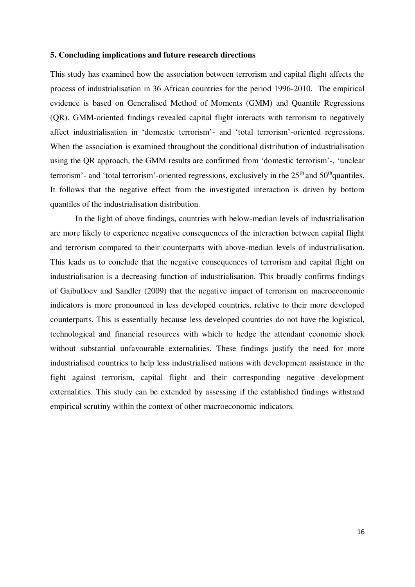#### **5. Concluding implications and future research directions**

This study has examined how the association between terrorism and capital flight affects the process of industrialisation in 36 African countries for the period 1996-2010. The empirical evidence is based on Generalised Method of Moments (GMM) and Quantile Regressions (QR). GMM-oriented findings revealed capital flight interacts with terrorism to negatively affect industrialisation in 'domestic terrorism'- and 'total terrorism'-oriented regressions. When the association is examined throughout the conditional distribution of industrialisation using the QR approach, the GMM results are confirmed from 'domestic terrorism'-, 'unclear terrorism'- and 'total terrorism'-oriented regressions, exclusively in the  $25<sup>th</sup>$  and  $50<sup>th</sup>$ quantiles. It follows that the negative effect from the investigated interaction is driven by bottom quantiles of the industrialisation distribution.

 In the light of above findings, countries with below-median levels of industrialisation are more likely to experience negative consequences of the interaction between capital flight and terrorism compared to their counterparts with above-median levels of industrialisation. This leads us to conclude that the negative consequences of terrorism and capital flight on industrialisation is a decreasing function of industrialisation. This broadly confirms findings of Gaibulloev and Sandler (2009) that the negative impact of terrorism on macroeconomic indicators is more pronounced in less developed countries, relative to their more developed counterparts. This is essentially because less developed countries do not have the logistical, technological and financial resources with which to hedge the attendant economic shock without substantial unfavourable externalities. These findings justify the need for more industrialised countries to help less industrialised nations with development assistance in the fight against terrorism, capital flight and their corresponding negative development externalities. This study can be extended by assessing if the established findings withstand empirical scrutiny within the context of other macroeconomic indicators.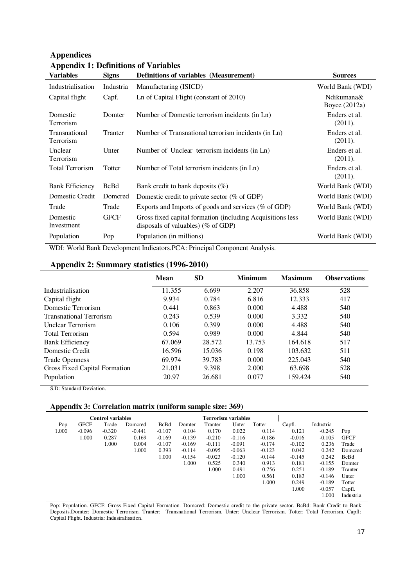| r r<br><b>Variables</b>    | <b>Signs</b> | <b>Definitions of variables (Measurement)</b>                                                       | <b>Sources</b>              |
|----------------------------|--------------|-----------------------------------------------------------------------------------------------------|-----------------------------|
| Industrialisation          | Industria    | Manufacturing (ISICD)                                                                               | World Bank (WDI)            |
| Capital flight             | Capf.        | Ln of Capital Flight (constant of 2010)                                                             | Ndikumana&<br>Boyce (2012a) |
| Domestic<br>Terrorism      | Domter       | Number of Domestic terrorism incidents (in Ln)                                                      | Enders et al.<br>(2011).    |
| Transnational<br>Terrorism | Tranter      | Number of Transnational terrorism incidents (in Ln)                                                 | Enders et al.<br>(2011).    |
| Unclear<br>Terrorism       | Unter        | Number of Unclear terrorism incidents (in Ln)                                                       | Enders et al.<br>(2011).    |
| <b>Total Terrorism</b>     | Totter       | Number of Total terrorism incidents (in Ln)                                                         | Enders et al.<br>(2011).    |
| <b>Bank Efficiency</b>     | <b>BcBd</b>  | Bank credit to bank deposits $(\%)$                                                                 | World Bank (WDI)            |
| Domestic Credit            | Domcred      | Domestic credit to private sector $(\%$ of GDP)                                                     | World Bank (WDI)            |
| Trade                      | Trade        | Exports and Imports of goods and services (% of GDP)                                                | World Bank (WDI)            |
| Domestic<br>Investment     | <b>GFCF</b>  | Gross fixed capital formation (including Acquisitions less<br>disposals of valuables) ( $%$ of GDP) | World Bank (WDI)            |
| Population                 | Pop          | Population (in millions)                                                                            | World Bank (WDI)            |

## **Appendices Appendix 1: Definitions of Variables**

WDI: World Bank Development Indicators.PCA: Principal Component Analysis.

#### **Appendix 2: Summary statistics (1996-2010)**

|                                | Mean   | <b>SD</b> | <b>Minimum</b> | <b>Maximum</b> | <b>Observations</b> |
|--------------------------------|--------|-----------|----------------|----------------|---------------------|
| Industrialisation              | 11.355 | 6.699     | 2.207          | 36.858         | 528                 |
| Capital flight                 | 9.934  | 0.784     | 6.816          | 12.333         | 417                 |
| Domestic Terrorism             | 0.441  | 0.863     | 0.000          | 4.488          | 540                 |
| <b>Transnational Terrorism</b> | 0.243  | 0.539     | 0.000          | 3.332          | 540                 |
| <b>Unclear Terrorism</b>       | 0.106  | 0.399     | 0.000          | 4.488          | 540                 |
| <b>Total Terrorism</b>         | 0.594  | 0.989     | 0.000          | 4.844          | 540                 |
| <b>Bank Efficiency</b>         | 67.069 | 28.572    | 13.753         | 164.618        | 517                 |
| Domestic Credit                | 16.596 | 15.036    | 0.198          | 103.632        | 511                 |
| <b>Trade Openness</b>          | 69.974 | 39.783    | 0.000          | 225.043        | 540                 |
| Gross Fixed Capital Formation  | 21.031 | 9.398     | 2.000          | 63.698         | 528                 |
| Population                     | 20.97  | 26.681    | 0.077          | 159.424        | 540                 |

S.D: Standard Deviation.

#### **Appendix 3: Correlation matrix (uniform sample size: 369)**

| <b>Control variables</b> |             |          |          |             | <b>Terrorism variables</b> |          |          |          |          |           |             |
|--------------------------|-------------|----------|----------|-------------|----------------------------|----------|----------|----------|----------|-----------|-------------|
| Pop                      | <b>GFCF</b> | Trade    | Domcred  | <b>BcBd</b> | Domter                     | Tranter  | Unter    | Totter   | Capfl.   | Industria |             |
| 1.000                    | $-0.096$    | $-0.320$ | $-0.441$ | $-0.107$    | 0.104                      | 0.170    | 0.022    | 0.114    | 0.121    | $-0.245$  | Pop         |
|                          | 1.000       | 0.287    | 0.169    | $-0.169$    | $-0.139$                   | $-0.210$ | $-0.116$ | $-0.186$ | $-0.016$ | $-0.105$  | <b>GFCF</b> |
|                          |             | 1.000    | 0.004    | $-0.107$    | $-0.169$                   | $-0.111$ | $-0.091$ | $-0.174$ | $-0.102$ | 0.236     | Trade       |
|                          |             |          | 1.000    | 0.393       | $-0.114$                   | $-0.095$ | $-0.063$ | $-0.123$ | 0.042    | 0.242     | Domcred     |
|                          |             |          |          | 1.000       | $-0.154$                   | $-0.023$ | $-0.120$ | $-0.144$ | $-0.145$ | 0.242     | BcBd        |
|                          |             |          |          |             | 1.000                      | 0.525    | 0.340    | 0.913    | 0.181    | $-0.155$  | Domter      |
|                          |             |          |          |             |                            | 1.000    | 0.491    | 0.756    | 0.251    | $-0.189$  | Tranter     |
|                          |             |          |          |             |                            |          | 1.000    | 0.561    | 0.183    | $-0.146$  | Unter       |
|                          |             |          |          |             |                            |          |          | 1.000    | 0.249    | $-0.189$  | Totter      |
|                          |             |          |          |             |                            |          |          |          | 1.000    | $-0.057$  | Capfl.      |
|                          |             |          |          |             |                            |          |          |          |          | 1.000     | Industria   |

Pop: Population. GFCF: Gross Fixed Capital Formation. Domcred: Domestic credit to the private sector. BcBd: Bank Credit to Bank Deposits.Domter: Domestic Terrorism. Tranter: Transnational Terrorism. Unter: Unclear Terrorism. Totter: Total Terrorism. Capfl: Capital Flight. Industria: Industralisation.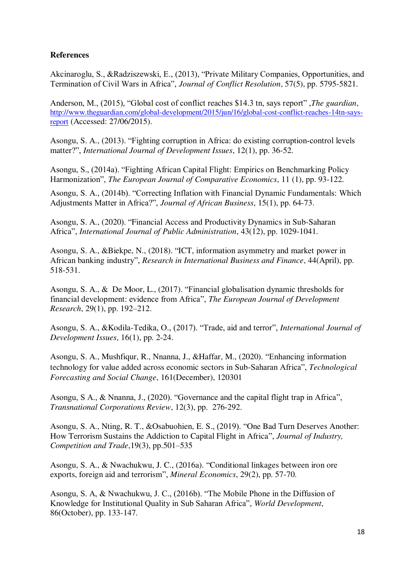## **References**

Akcinaroglu, S., &Radziszewski, E., (2013), "Private Military Companies, Opportunities, and Termination of Civil Wars in Africa", *Journal of Conflict Resolution*, 57(5), pp. 5795-5821.

Anderson, M., (2015), "Global cost of conflict reaches \$14.3 tn, says report" ,*The guardian*, [http://www.theguardian.com/global-development/2015/jun/16/global-cost-conflict-reaches-14tn-says](http://www.theguardian.com/global-development/2015/jun/16/global-cost-conflict-reaches-14tn-says-report)[report](http://www.theguardian.com/global-development/2015/jun/16/global-cost-conflict-reaches-14tn-says-report) (Accessed: 27/06/2015).

Asongu, S. A., (2013). "Fighting corruption in Africa: do existing corruption‐control levels matter?", *International Journal of Development Issues*, 12(1), pp. 36-52.

Asongu, S., (2014a). "Fighting African Capital Flight: Empirics on Benchmarking Policy Harmonization", *The European Journal of Comparative Economics*, 11 (1), pp. 93-122.

Asongu, S. A., (2014b). "Correcting Inflation with Financial Dynamic Fundamentals: Which Adjustments Matter in Africa?", *Journal of African Business*, 15(1), pp. 64-73.

Asongu, S. A., (2020). "Financial Access and Productivity Dynamics in Sub-Saharan Africa", *International Journal of Public Administration*, 43(12), pp. 1029-1041.

Asongu, S. A., &Biekpe, N., (2018). "ICT, information asymmetry and market power in African banking industry", *Research in International Business and Finance*, 44(April), pp. 518-531.

Asongu, S. A., & De Moor, L., (2017). "Financial globalisation dynamic thresholds for financial development: evidence from Africa", *The European Journal of Development Research*, 29(1), pp. 192–212.

Asongu, S. A., &Kodila-Tedika, O., (2017). "Trade, aid and terror", *International Journal of Development Issues*, 16(1), pp. 2-24.

Asongu, S. A., Mushfiqur, R., Nnanna, J., &Haffar, M., (2020). "Enhancing information technology for value added across economic sectors in Sub-Saharan Africa", *Technological Forecasting and Social Change*, 161(December), 120301

Asongu, S A., & Nnanna, J., (2020). "Governance and the capital flight trap in Africa", *Transnational Corporations Review*, 12(3), pp. 276-292.

Asongu, S. A., Nting, R. T., &Osabuohien, E. S., (2019). "One Bad Turn Deserves Another: How Terrorism Sustains the Addiction to Capital Flight in Africa", *Journal of Industry, Competition and Trade*,19(3), pp.501–535

Asongu, S. A., & Nwachukwu, J. C., (2016a). "Conditional linkages between iron ore exports, foreign aid and terrorism", *Mineral Economics*, 29(2), pp. 57-70.

Asongu, S. A, & Nwachukwu, J. C., (2016b). "The Mobile Phone in the Diffusion of Knowledge for Institutional Quality in Sub Saharan Africa", *World Development*, 86(October), pp. 133-147.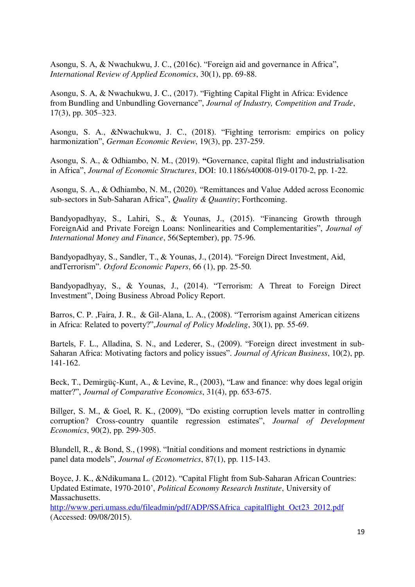Asongu, S. A, & Nwachukwu, J. C., (2016c). "Foreign aid and governance in Africa", *International Review of Applied Economics*, 30(1), pp. 69-88.

Asongu, S. A, & Nwachukwu, J. C., (2017). "Fighting Capital Flight in Africa: Evidence from Bundling and Unbundling Governance", *Journal of Industry, Competition and Trade*, 17(3), pp. 305–323.

Asongu, S. A., &Nwachukwu, J. C., (2018). "Fighting terrorism: empirics on policy harmonization", *German Economic Review*, 19(3), pp. 237-259.

Asongu, S. A., & Odhiambo, N. M., (2019). **"**Governance, capital flight and industrialisation in Africa", *Journal of Economic Structures*, DOI: 10.1186/s40008-019-0170-2, pp. 1-22.

Asongu, S. A., & Odhiambo, N. M., (2020). "Remittances and Value Added across Economic sub-sectors in Sub-Saharan Africa", *Quality & Quantity*; Forthcoming.

Bandyopadhyay, S., Lahiri, S., & Younas, J., (2015). "Financing Growth through ForeignAid and Private Foreign Loans: Nonlinearities and Complementarities", *Journal of International Money and Finance*, 56(September), pp. 75-96.

Bandyopadhyay, S., Sandler, T., & Younas, J., (2014). "Foreign Direct Investment, Aid, andTerrorism". *Oxford Economic Papers*, 66 (1), pp. 25-50.

Bandyopadhyay, S., & Younas, J., (2014). "Terrorism: A Threat to Foreign Direct Investment", Doing Business Abroad Policy Report.

Barros, C. P. ,Faira, J. R., & Gil-Alana, L. A., (2008). "Terrorism against American citizens in Africa: Related to poverty?",*Journal of Policy Modeling*, 30(1), pp. 55-69.

Bartels, F. L., Alladina, S. N., and Lederer, S., (2009). "Foreign direct investment in sub-Saharan Africa: Motivating factors and policy issues". *Journal of African Business*, 10(2), pp. 141-162.

Beck, T., Demirgüç-Kunt, A., & Levine, R., (2003), "Law and finance: why does legal origin matter?", *Journal of Comparative Economics*, 31(4), pp. 653-675.

Billger, S. M., & Goel, R. K., (2009), "Do existing corruption levels matter in controlling corruption? Cross-country quantile regression estimates", *Journal of Development Economics*, 90(2), pp. 299-305.

Blundell, R., & Bond, S., (1998). "Initial conditions and moment restrictions in dynamic panel data models", *Journal of Econometrics*, 87(1), pp. 115-143.

Boyce, J. K., &Ndikumana L. (2012). "Capital Flight from Sub-Saharan African Countries: Updated Estimate, 1970-2010', *Political Economy Research Institute*, University of Massachusetts.

[http://www.peri.umass.edu/fileadmin/pdf/ADP/SSAfrica\\_capitalflight\\_Oct23\\_2012.pdf](http://www.peri.umass.edu/fileadmin/pdf/ADP/SSAfrica_capitalflight_Oct23_2012.pdf) (Accessed: 09/08/2015).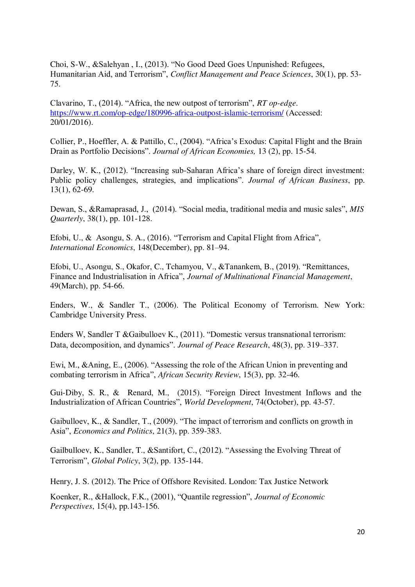Choi, S-W., &Salehyan , I., (2013). "No Good Deed Goes Unpunished: Refugees, Humanitarian Aid, and Terrorism", *Conflict Management and Peace Sciences*, 30(1), pp. 53- 75.

Clavarino, T., (2014). "Africa, the new outpost of terrorism", *RT op-edge*. <https://www.rt.com/op-edge/180996-africa-outpost-islamic-terrorism/>(Accessed: 20/01/2016).

Collier, P., Hoeffler, A. & Pattillo, C., (2004). "Africa's Exodus: Capital Flight and the Brain Drain as Portfolio Decisions". *Journal of African Economies,* 13 (2), pp. 15-54.

Darley, W. K., (2012). "Increasing sub-Saharan Africa's share of foreign direct investment: Public policy challenges, strategies, and implications". *Journal of African Business*, pp. 13(1), 62-69.

Dewan, S., &Ramaprasad, J., (2014). "Social media, traditional media and music sales", *MIS Quarterly*, 38(1), pp. 101-128.

Efobi, U., & Asongu, S. A., (2016). "Terrorism and Capital Flight from Africa", *International Economics*, 148(December), pp. 81–94.

Efobi, U., Asongu, S., Okafor, C., Tchamyou, V., &Tanankem, B., (2019). "Remittances, Finance and Industrialisation in Africa", *Journal of Multinational Financial Management*, 49(March), pp. 54-66.

Enders, W., & Sandler T., (2006). The Political Economy of Terrorism. New York: Cambridge University Press.

Enders W, Sandler T &Gaibulloev K., (2011). "Domestic versus transnational terrorism: Data, decomposition, and dynamics". *Journal of Peace Research*, 48(3), pp. 319–337.

Ewi, M., &Aning, E., (2006). "Assessing the role of the African Union in preventing and combating terrorism in Africa", *African Security Review*, 15(3), pp. 32-46.

Gui-Diby, S. R., & Renard, M., (2015). "Foreign Direct Investment Inflows and the Industrialization of African Countries", *World Development*, 74(October), pp. 43-57.

Gaibulloev, K., & Sandler, T., (2009). "The impact of terrorism and conflicts on growth in Asia", *Economics and Politics*, 21(3), pp. 359-383.

Gailbulloev, K., Sandler, T., &Santifort, C., (2012). "Assessing the Evolving Threat of Terrorism", *Global Policy*, 3(2), pp. 135-144.

Henry, J. S. (2012). The Price of Offshore Revisited. London: Tax Justice Network

Koenker, R., &Hallock, F.K., (2001), "Quantile regression", *Journal of Economic Perspectives*, 15(4), pp.143-156.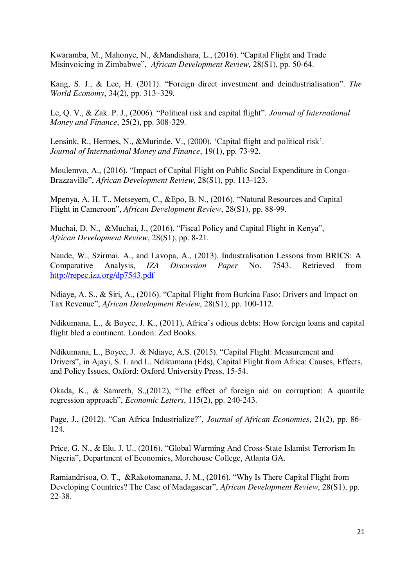Kwaramba, M., Mahonye, N., &Mandishara, L., (2016). "Capital Flight and Trade Misinvoicing in Zimbabwe", *African Development Review*, 28(S1), pp. 50-64.

Kang, S. J., & Lee, H. (2011). "Foreign direct investment and deindustrialisation". *The World Economy*, 34(2), pp. 313–329.

Le, Q. V., & Zak. P. J., (2006). "Political risk and capital flight". *Journal of International Money and Finance*, 25(2), pp. 308-329.

Lensink, R., Hermes, N., &Murinde. V., (2000). 'Capital flight and political risk'. *Journal of International Money and Finance*, 19(1), pp. 73-92.

Moulemvo, A., (2016). "Impact of Capital Flight on Public Social Expenditure in Congo-Brazzaville", *African Development Review*, 28(S1), pp. 113-123.

Mpenya, A. H. T., Metseyem, C., &Epo, B. N., (2016). "Natural Resources and Capital Flight in Cameroon", *African Development Review*, 28(S1), pp. 88-99.

Muchai, D. N., &Muchai, J., (2016). "Fiscal Policy and Capital Flight in Kenya", *African Development Review*, 28(S1), pp. 8-21.

Naude, W., Szirmai, A., and Lavopa, A., (2013), Industralisation Lessons from BRICS: A Comparative Analysis, *IZA Discussion Paper* No. 7543. Retrieved from <http://repec.iza.org/dp7543.pdf>

Ndiaye, A. S., & Siri, A., (2016). "Capital Flight from Burkina Faso: Drivers and Impact on Tax Revenue", *African Development Review*, 28(S1), pp. 100-112.

Ndikumana, L., & Boyce, J. K., (2011), Africa's odious debts: How foreign loans and capital flight bled a continent. London: Zed Books.

Ndikumana, L., Boyce, J. & Ndiaye, A.S. (2015). "Capital Flight: Measurement and Drivers", in Ajayi, S. I. and L. Ndikumana (Eds), Capital Flight from Africa: Causes, Effects, and Policy Issues, Oxford: Oxford University Press, 15-54.

Okada, K., & Samreth, S.,(2012), "The effect of foreign aid on corruption: A quantile regression approach", *Economic Letters*, 115(2), pp. 240-243.

Page, J., (2012). "Can Africa Industrialize?", *Journal of African Economies*, 21(2), pp. 86- 124.

Price, G. N., & Elu, J. U., (2016). "Global Warming And Cross-State Islamist Terrorism In Nigeria", Department of Economics, Morehouse College, Atlanta GA.

Ramiandrisoa, O. T., &Rakotomanana, J. M., (2016). "Why Is There Capital Flight from Developing Countries? The Case of Madagascar", *African Development Review*, 28(S1), pp. 22-38.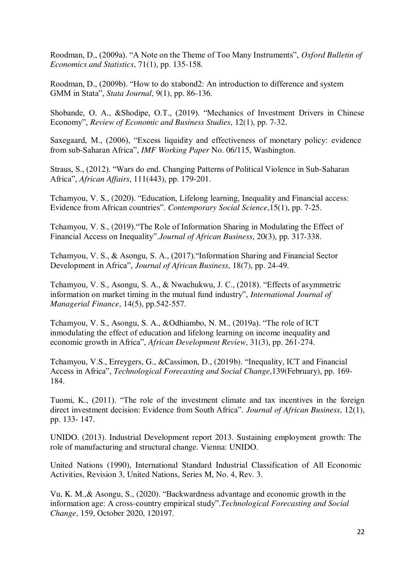Roodman, D., (2009a). "A Note on the Theme of Too Many Instruments", *Oxford Bulletin of Economics and Statistics*, 71(1), pp. 135-158.

Roodman, D., (2009b). "How to do xtabond2: An introduction to difference and system GMM in Stata", *Stata Journal*, 9(1), pp. 86-136.

Shobande, O. A., &Shodipe, O.T., (2019). "Mechanics of Investment Drivers in Chinese Economy", *Review of Economic and Business Studies*, 12(1), pp. 7-32.

Saxegaard, M., (2006), "Excess liquidity and effectiveness of monetary policy: evidence from sub-Saharan Africa", *IMF Working Paper* No. 06/115, Washington.

Straus, S., (2012). "Wars do end. Changing Patterns of Political Violence in Sub-Saharan Africa", *African Affairs*, 111(443), pp. 179-201.

Tchamyou, V. S., (2020). "Education, Lifelong learning, Inequality and Financial access: Evidence from African countries". *Contemporary Social Science*,15(1), pp. 7-25.

Tchamyou, V. S., (2019)."The Role of Information Sharing in Modulating the Effect of Financial Access on Inequality".*Journal of African Business*, 20(3), pp. 317-338.

Tchamyou, V. S., & Asongu, S. A., (2017)."Information Sharing and Financial Sector Development in Africa", *Journal of African Business*, 18(7), pp. 24-49.

Tchamyou, V. S., Asongu, S. A., & Nwachukwu, J. C., (2018). "Effects of asymmetric information on market timing in the mutual fund industry", *International Journal of Managerial Finance*, 14(5), pp.542-557.

Tchamyou, V. S., Asongu, S. A., &Odhiambo, N. M., (2019a). "The role of ICT inmodulating the effect of education and lifelong learning on income inequality and economic growth in Africa", *African Development Review*, 31(3), pp. 261-274.

Tchamyou, V.S., Erreygers, G., &Cassimon, D., (2019b). "Inequality, ICT and Financial Access in Africa", *Technological Forecasting and Social Change*,139(February), pp. 169- 184.

Tuomi, K., (2011). "The role of the investment climate and tax incentives in the foreign direct investment decision: Evidence from South Africa". *Journal of African Business*, 12(1), pp. 133- 147.

UNIDO. (2013). Industrial Development report 2013. Sustaining employment growth: The role of manufacturing and structural change. Vienna: UNIDO.

United Nations (1990), International Standard Industrial Classification of All Economic Activities, Revision 3, United Nations, Series M, No. 4, Rev. 3.

Vu, K. M.,& Asongu, S., (2020). "Backwardness advantage and economic growth in the information age: A cross-country empirical study".*Technological Forecasting and Social Change*, 159, October 2020, 120197.